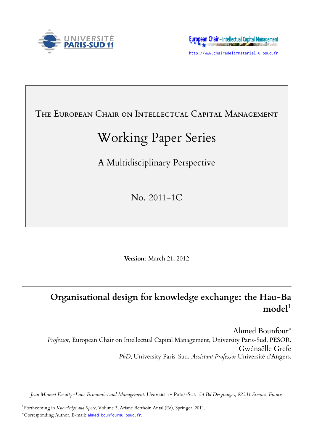



http://www.chairedelimmateriel.u-psud.fr

# THE EUROPEAN CHAIR ON INTELLECTUAL CAPITAL MANAGEMENT

# Working Paper Series

A Multidisciplinary Perspective

No. 2011-1C

**Version**: March 21, 2012

# **Organisational design for knowledge exchange: the Hau-Ba** model<sup>1</sup>

Ahmed Bounfour*∗ Professor*, European Chair on Intellectual Capital Management, University Paris-Sud, PESOR. Gwénaëlle Grefe *PhD*, University Paris-Sud, *Assistant Professor* Université d'Angers.

*Jean Monnet Faculty–Law, Economics and Management.* UNIVERSITY PARIS-SUD, 54 Bd Desgranges, 92331 Sceaux, France.

<sup>1</sup> Forthcoming in *Knowledge and Space*, Volume 3, Ariane Berthoin Antal (Ed), Springer, 2011. *<sup>∗</sup>*Corresponding Author, E-mail: ahmed.bounfour@u-psud.fr.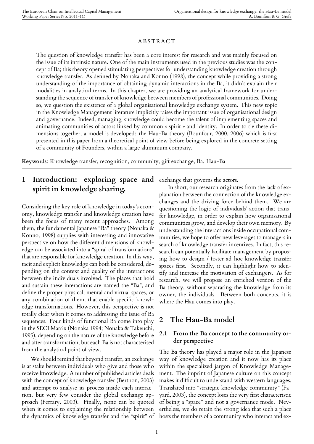#### **ABSTRACT**

The question of knowledge transfer has been a core interest for research and was mainly focused on the issue of its intrinsic nature. One of the main instruments used in the previous studies was the concept of Ba; this theory opened stimulating perspectives for understanding knowledge creation through knowledge transfer. As defined by Nonaka and Konno (1998), the concept while providing a strong understanding of the importance of obtaining dynamic interactions in the Ba, it didn't explain their modalities in analytical terms. In this chapter, we are providing an analytical framework for understanding the sequence of transfer of knowledge between members of professional communities. Doing so, we question the existence of a global organisational knowledge exchange system. This new topic in the Knowledge Management literature implicitly raises the important issue of organisational design and governance. Indeed, managing knowledge could become the talent of implementing spaces and animating communities of actors linked by common « spirit » and identity. In order to tie these dimensions together, a model is developed: the Hau-Ba theory (Bounfour, 2000, 2006) which is first presented in this paper from a theoretical point of view before being explored in the concrete setting of a community of Founders, within a large aluminium company.

**Keywords**: Knowledge transfer, recognition, community, gift exchange, Ba. Hau-Ba

# **1 Introduction: exploring space and** exchange that governs the actors. **spirit in knowledge sharing.**

Considering the key role of knowledge in today's economy, knowledge transfer and knowledge creation have been the focus of many recent approaches. Among them, the fundamental Japanese "Ba" theory (Nonaka & Konno, 1998) supplies with interesting and innovative perspective on how the different dimensions of knowledge can be associated into a "spiral of transformations" that are responsible for knowledge creation. In this way, tacit and explicit knowledge can both be considered, depending on the context and quality of the interactions between the individuals involved. The places that hold and sustain these interactions are named the "Ba", and define the proper physical, mental and virtual spaces, or any combination of them, that enable specific knowledge transformations. However, this perspective is not totally clear when it comes to addressing the issue of Ba sequences. Four kinds of functional Ba come into play in the SECI Matrix (Nonaka 1994; Nonaka & Takeuchi, 1995), depending on the nature of the knowledge before and after transformation, but each Ba is not characterised from the analytical point of view.

We should remind that beyond transfer, an exchange is at stake between individuals who give and those who receive knowledge. A number of published articles deals with the concept of knowledge transfer (Berthon, 2003) and attempt to analyse its process inside each interaction, but very few consider the global exchange approach (Ferrary, 2003). Finally, none can be quoted when it comes to explaining the relationship between the dynamics of knowledge transfer and the "spirit" of

In short, our research originates from the lack of explanation between the connection of the knowledge exchanges and the driving force behind them. We are questioning the logic of individuals' action that transfer knowledge, in order to explain how organisational communities grow, and develop their own memory. By understanding the interactions inside occupational communities, we hope to offer new leverages to managers in search of knowledge transfer incentives. In fact, this research can potentially facilitate management by proposing how to design / foster ad-hoc knowledge transfer spaces first. Secondly, it can highlight how to identify and increase the motivation of exchangers. As for research, we will propose an enriched version of the Ba theory, without separating the knowledge from its owner, the individuals. Between both concepts, it is where the Hau comes into play.

### **2 The Hau-Ba model**

#### **2.1 From the Ba concept to the community order perspective**

The Ba theory has played a major role in the Japanese way of knowledge creation and it now has its place within the specialized jargon of Knowledge Management. The imprint of Japanese culture on this concept makes it difficult to understand with western languages. Translated into "strategic knowledge community" (Fayard, 2003), the concept loses the very first characteristic of being a "space" and not a governance mode. Nevertheless, we do retain the strong idea that such a place hosts the members of a community who interact and ex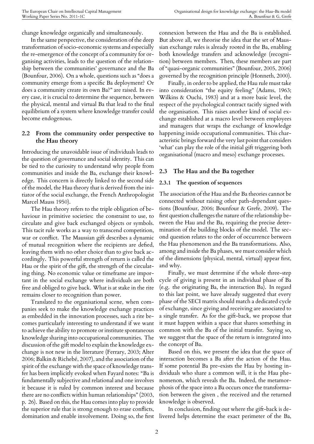change knowledge organically and simultaneously.

In the same perspective, the consideration of the deep transformation of socio-economic systems and especially the re-emergence of the concept of a community for organising activities, leads to the question of the relationship between the communities' governance and the Ba (Bounfour, 2006). On a whole, questions such as "does a community emerge from a specific Ba deployment? Or does a community create its own Ba?" are raised. In every case, it is crucial to determine the sequence, between the physical, mental and virtual Ba that lead to the final equilibrium of a system where knowledge transfer could become endogenous.

#### **2.2 From the community order perspective to the Hau theory**

Introducing the unavoidable issue of individuals leads to the question of governance and social identity. This can be tied to the curiosity to understand why people from communities and inside the Ba, exchange their knowledge. This concern is directly linked to the second side of the model, the Hau theory that is derived from the initiator of the social exchange, the French Anthropologist Marcel Mauss 1950).

The Hau theory refers to the triple obligation of behaviour in primitive societies: the constraint to use, to circulate and give back exchanged objects or symbols. This tacit rule works as a way to transcend competition, war or conflict. The Maussian gift describes a dynamic of mutual recognition where the recipients are defied, leaving them with no other choice than to give back accordingly. This powerful strength of return is called the Hau or the spirit of the gift, the strength of the circulating thing. No economic value or timeframe are important in the social exchange where individuals are both free and obliged to give back. What is at stake in the rite remains closer to recognition than power.

Translated to the organisational scene, when companies seek to make the knowledge exchange practices as embedded in the innovation processes, such a rite becomes particularly interesting to understand if we want to achieve the ability to promote or institute spontaneous knowledge sharing into occupational communities. The discussion of the gift model to explain the knowledge exchange is not new in the literature (Ferrary, 2003; Alter 2006; Balkin & Richebé, 2007), and the association of the spirit of the exchange with the space of knowledge transfer has been implicitly evoked when Fayard notes: "Ba is fundamentally subjective and relational and one involves it because it is ruled by common interest and because there are no conflicts within human relationships" (2003, p. 26). Based on this, the Hau comes into play to provide the superior rule that is strong enough to erase conflicts, domination and enable involvement. Doing so, the first connexion between the Hau and the Ba is established. But above all, we theorise the idea that the set of Maussian exchange rules is already rooted in the Ba, enabling both knowledge transfers and acknowledge (recognition) between members. Then, these members are part of "quasi-organic communities" (Bounfour, 2005, 2006) governed by the recognition principle (Honneth, 2000).

Finally, in order to be applied, the Hau rule must take into consideration "the equity feeling" (Adams, 1963; Wilkins & Ouchi, 1983) and at a more basic level, the respect of the psychological contract tacitly signed with the organisation. This raises another kind of social exchange established at a macro level between employees and managers that wraps the exchange of knowledge happening inside occupational communities. This characteristic brings forward the very last point that considers 'what' can play the role of the initial gift triggering both organisational (macro and meso) exchange processes.

#### **2.3 The Hau and the Ba together**

#### **2.3.1 The question of sequences**

The association of the Hau and the Ba theories cannot be connected without raising other path-dependant questions (Bounfour, 2006; Bounfour & Grefe, 2009). The first question challenges the nature of the relationship between the Hau and the Ba, requiring the precise determination of the building blocks of the model. The second question relates to the order of occurrence between the Hau phenomenon and the Ba transformations. Also, among and inside the Ba phases, we must consider which of the dimensions (physical, mental, virtual) appear first, and why.

Finally, we must determine if the whole three-step cycle of giving is present in an individual phase of Ba (e.g. the originating Ba, the interaction Ba). In regard to this last point, we have already suggested that every phase of the SECI matrix should match a dedicated cycle of exchange, since giving and receiving are associated to a single transfer. As for the gift-back, we propose that it must happen within a space that shares something in common with the Ba of the initial transfer. Saying so, we suggest that the space of the return is integrated into the concept of Ba.

Based on this, we present the idea that the space of interaction becomes a Ba after the action of the Hau. If some potential Ba pre-exists the Hau by hosting individuals who share a common will, it is the Hau phenomenon, which reveals the Ba. Indeed, the metamorphosis of the space into a Ba occurs once the transformation between the given , the received and the returned knowledge is observed.

In conclusion, finding out where the gift-back is delivered helps determine the exact perimeter of the Ba,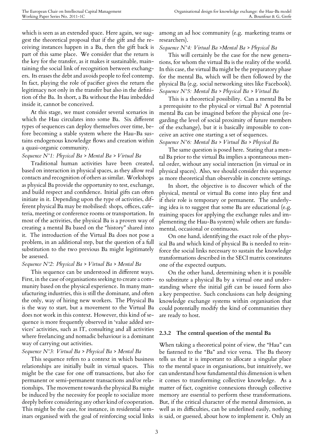which is seen as an extended space. Here again, we suggest the theoretical proposal that if the gift and the receiving instances happen in a Ba, then the gift back is part of this same place. We consider that the return is the key for the transfer, as it makes it sustainable, maintaining the social link of recognition between exchangers. Its erases the debt and avoids people to feel contemp. In fact, playing the role of pacifier gives the return the legitimacy not only in the transfer but also in the definition of the Ba. In short, a Ba without the Hau imbedded inside it, cannot be conceived.

At this stage, we must consider several scenarios in which the Hau circulates into some Ba. Six different types of sequences can deploy themselves over time, before becoming a stable system where the Hau-Ba sustains endogenous knowledge flows and creation within a quasi-organic community.

#### *Sequence N°1: Physical Ba > Mental Ba > Virtual Ba*

Traditional human activities have been created, based on interaction in physical spaces, as they allow real contacts and recognition of others as similar. Workshops as physical Ba provide the opportunity to test, exchange, and build respect and confidence. Initial gifts can often initiate in it. Depending upon the type of activities, different physical Ba may be mobilised: shops, offices, cafeteria, meeting or conference rooms or transportation. In most of the activities, the physical Ba is a proven way of creating a mental Ba based on the "history" shared into it. The introduction of the Virtual Ba does not pose a problem, in an additional step, but the question of a full substitution to the two previous Ba might legitimately be assessed.

#### *Sequence N°2: Physical Ba > Virtual Ba > Mental Ba*

This sequence can be understood in different ways. First, in the case of organisations seeking to create a community based on the physical experience. In many manufacturing industries, this is still the dominant, and often the only, way of hiring new workers. The Physical Ba is the way to start, but a movement to the Virtual Ba does not work in this context. However, this kind of sequence is more frequently observed in 'value added services' activities, such as IT, consulting and all activities where freelancing and nomadic behaviour is a dominant way of carrying out activities.

#### *Sequence N°3: Virtual Ba > Physical Ba > Mental Ba*

This sequence refers to a context in which business relationships are initially built in virtual spaces. This might be the case for one off transactions, but also for permanent or semi-permanent transactions and/or relationships. The movement towards the physical Ba might be induced by the necessity for people to socialize more deeply before considering any other kind of cooperation. This might be the case, for instance, in residential seminars organised with the goal of reinforcing social links

among an ad hoc community (e.g. marketing teams or researchers).

#### *Sequence N°4: Virtual Ba >Mental Ba > Physical Ba*

This will certainly be the case for the new generations, for whom the virtual Ba is the reality of the world. In this case, the virtual Ba might be the preparatory phase for the mental Ba, which will be then followed by the physical Ba (e.g. social networking sites like Facebook). *Sequence N°5: Mental Ba > Physical Ba > Virtual Ba*

This is a theoretical possibility. Can a mental Ba be a prerequisite to the physical or virtual Ba? A potential mental Ba can be imagined before the physical one (regarding the level of social proximity of future members of the exchange), but it is basically impossible to conceive an active one starting a set of sequences.

#### *Sequence N°6: Mental Ba > Virtual Ba > Physical Ba*

The same question is posed here. Stating that a mental Ba prior to the virtual Ba implies a spontaneous mental order, without any social interaction (in virtual or in physical spaces). Also, we should consider this sequence as more theoretical than observable in concrete settings.

In short, the objective is to discover which of the physical, mental or virtual Ba come into play first and if their role is temporary or permanent. The underlying idea is to suggest that some Ba are educational (e.g. training spaces for applying the exchange rules and implementing the Hau-Ba system) while others are fundamental, occasional or continuous.

On one hand, identifying the exact role of the physical Ba and which kind of physical Ba is needed to reinforce the social links necessary to sustain the knowledge transformations described in the SECI matrix constitutes one of the expected outputs.

On the other hand, determining when it is possible to substitute a physical Ba by a virtual one and understanding where the initial gift can be issued form also a key perspective. Such conclusions can help designing knowledge exchange systems within organisation that could potentially modify the kind of communities they are ready to host.

#### **2.3.2 The central question of the mental Ba**

When taking a theoretical point of view, the "Hau" can be fastened to the "Ba" and vice versa. The Ba theory tells us that it is important to allocate a singular place to the mental space in organisations, but intuitively, we can understand how fundamental this dimension is when it comes to transforming collective knowledge. As a matter of fact, cognitive connexions through collective memory are essential to perform these transformations. But, if the critical character of the mental dimension, as well as its difficulties, can be underlined easily, nothing is said, or guessed, about how to implement it. Only an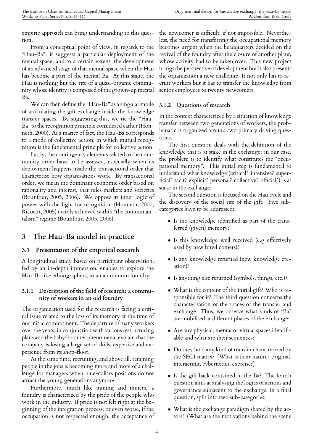empiric approach can bring understanding to this question.

From a conceptual point of view, in regards to the "Hau-Ba", it suggests a particular deployment of the mental space, and to a certain extent, the development of an advanced stage of that mental space when the Hau has become a part of the mental Ba. At this stage, the Hau is nothing but the rite of a quasi-organic community whose identity is composed of the grown-up mental Ba.

We can then define the "Hau-Ba" as a singular mode of articulating the gift exchange inside the knowledge transfer spaces. By suggesting this, we tie the "Hau-Ba" to the recognition principle considered earlier (Honneth, 2000). As a matter of fact, the Hau-Ba corresponds to a mode of collective action, in which mutual recognition is the fundamental principle for collective action.

Lastly, the contingency elements related to the community order have to be assessed, especially when its deployment happens inside the transactional order that characterise how organisations work. By transactional order, we mean the dominant economic order based on rationality and interest, that rules markets and societies (Bounfour, 2005, 2006). We oppose its inner logic of power with the fight for recognition (Honneth, 2000; Ricoeur, 2005) mainly achieved within "the communautalism" regime (Bounfour, 2005, 2006).

## **3 The Hau-Ba model in practice**

#### **3.1 Presentation of the empirical research**

A longitudinal study based on participant observation, fed by an in-depth immersion, enables to explore the Hau-Ba like ethnographers, in an aluminium foundry.

#### **3.1.1 Description of the field of research: a community of workers in an old foundry**

The organization used for the research is facing a critical issue related to the loss of its memory at the time of our initial commitment. The departure of many workers over the years, in conjunction with various restructuring plans and the baby-boomer phenomena, explain that the company is losing a large set of skills, expertise and experience from its shop-floor.

At the same time, recruiting, and above all, retaining people in the jobs is becoming more and more of a challenge for managers when blue-collars positions do not attract the young generations anymore.

Furthermore, much like mining and miners, a foundry is characterized by the pride of the people who work in the industry. If pride is not felt right at the beginning of the integration process, or even worse, if the occupation is not respected enough, the acceptance of

the newcomer is difficult, if not impossible. Nevertheless, the need for transferring the occupational memory becomes urgent when the headquarters decided on the revival of the foundry after the closure of another plant, whose activity had to be taken over. This new project brings the perspective of development but it also presents the organization a new challenge. It not only has to recruit workers but it has to transfer the knowledge from senior employees to twenty newcomers.

#### **3.1.2 Questions of research**

In the context characterized by a situation of knowledge transfer between two generations of workers, the problematic is organized around two primary driving questions.

The first question deals with the definition of the knowledge that is at stake in the exchange: in our case, the problem is to identify what constitutes the "occupational memory". This initial step is fundamental to understand what knowledge (critical? intensive? superficial? tacit? explicit? personal? collective? official?) is at stake in the exchange.

The second question is focused on the Hau cycle and the discovery of the social rite of the gift. Five subcategories have to be addressed:

- *•* Is the knowledge identified as part of the transferred (given) memory?
- Is this knowledge well received (e.g effectively used by new hired comers)?
- *•* Is any knowledge returned (new knowledge creation)?
- Is anything else returned (symbols, things, etc.)?
- *•* What is the content of the initial gift? Who is responsible for it? The third question concerns the characterisation of the spaces of the transfer and exchange. Thus, we observe what kinds of "Ba" are mobilised at different phases of the exchange:
- Are any physical, mental or virtual spaces identifiable and what are their sequences?
- Do they hold any kind of transfer characterized by the SECI matrix? (What is their nature: original, interacting, cybernetics, exercise?)
- *•* Is the gift back contained in the Ba? The fourth question aims at analysing the logics of actions and governance subjacent to the exchange, in a final question, split into two sub-categories:
- *•* What is the exchange paradigm shared by the actors? (What are the motivations behind the scene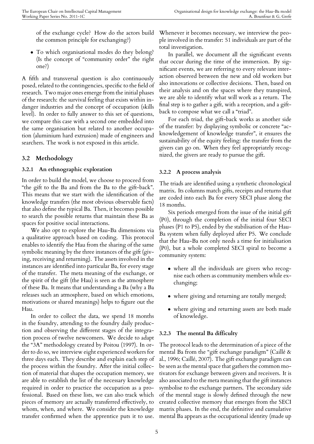of the exchange cycle? How do the actors build the common principle for exchanging?)

*•* To which organisational modes do they belong? (Is the concept of "community order" the right one?)

A fifth and transversal question is also continuously posed, related to the contingencies, specific to the field of research. Two major ones emerge from the initial phases of the research: the survival feeling that exists within indanger industries and the concept of occupation (skills level). In order to fully answer to this set of questions, we compare this case with a second one embedded into the same organisation but related to another occupation (aluminium hard extrusion) made of engineers and searchers. The work is not exposed in this article.

#### **3.2 Methodology**

#### **3.2.1 An ethnographic exploration**

In order to build the model, we choose to proceed from "the gift to the Ba and from the Ba to the gift-back". This means that we start with the identification of the knowledge transfers (the most obvious observable facts) that also define the typical Ba. Then, it becomes possible to search the possible returns that maintain these Ba as spaces for positive social interactions.

We also opt to explore the Hau-Ba dimensions via a qualitative approach based on coding. This protocol enables to identify the Hau from the sharing of the same symbolic meaning by the three instances of the gift (giving, receiving and returning). The assets involved in the instances are identified into particular Ba, for every stage of the transfer. The meta meaning of the exchange, or the spirit of the gift (the Hau) is seen as the atmosphere of these Ba. It means that understanding a Ba (why a Ba releases such an atmosphere, based on which emotions, motivations or shared meanings) helps to figure out the Hau.

In order to collect the data, we spend 18 months in the foundry, attending to the foundry daily production and observing the different stages of the integration process of twelve newcomers. We decide to adapt the "3A" methodology created by Poitou (1997). In order to do so, we interview eight experienced workers for three days each. They describe and explain each step of the process within the foundry. After the initial collection of material that shapes the occupation memory, we are able to establish the list of the necessary knowledge required in order to practice the occupation as a professional. Based on these lists, we can also track which pieces of memory are actually transferred effectively, to whom, when, and where. We consider the knowledge transfer confirmed when the apprentice puts it to use.

Whenever it becomes necessary, we interview the people involved in the transfer: 51 individuals are part of the total investigation.

In parallel, we document all the significant events that occur during the time of the immersion. By significant events, we are referring to every relevant interaction observed between the new and old workers but also innovations or collective decisions. Then, based on their analysis and on the spaces where they transpired, we are able to identify what will work as a return. The final step is to gather a gift, with a reception, and a giftback to compose what we call a "triad".

For each triad, the gift-back works as another side of the transfer: by displaying symbolic or concrete "acknowledgement of knowledge transfer", it ensures the sustainability of the equity feeling: the transfer from the givers can go on. When they feel appropriately recognized, the givers are ready to pursue the gift.

#### **3.2.2 A process analysis**

The triads are identified using a synthetic chronological matrix. Its columns match gifts, receipts and returns that are coded into each Ba for every SECI phase along the 18 months.

Six periods emerged from the issue of the initial gift (P0), through the completion of the initial four SECI phases (P1 to P5), ended by the stabilisation of the Hau-Ba system when fully deployed after P5. We conclude that the Hau-Ba not only needs a time for initialisation (P0), but a whole completed SECI spiral to become a community system:

- where all the individuals are givers who recognise each others as community members while exchanging;
- where giving and returning are totally merged;
- where giving and returning assets are both made of knowledge.

#### **3.2.3 The mental Ba difficulty**

The protocol leads to the determination of a piece of the mental Ba from the "gift exchange paradigm" (Caillé & al., 1996; Caillé, 2007). The gift exchange paradigm can be seen as the mental space that gathers the common motivators for exchange between givers and receivers. It is also associated to the meta meaning that the gift instances symbolise to the exchange partners. The secondary side of the mental stage is slowly defined through the new created collective memory that emerges from the SECI matrix phases. In the end, the definitive and cumulative mental Ba appears as the occupational identity (made up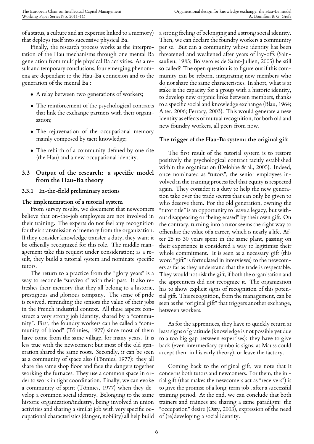of a status, a culture and an expertise linked to a memory) that deploys itself into successive physical Ba.

Finally, the research process works as the interpretation of the Hau mechanisms through one mental Ba generation from multiple physical Ba activities. As a result and temporary conclusions, four emerging phenomena are dependant to the Hau-Ba connexion and to the generation of the mental Ba :

- *•* A relay between two generations of workers;
- *•* The reinforcement of the psychological contracts that link the exchange partners with their organisation;
- *•* The rejuvenation of the occupational memory mainly composed by tacit knowledge;
- *•* The rebirth of a community defined by one rite (the Hau) and a new occupational identity.

#### **3.3 Output of the research: a specific model from the Hau-Ba theory**

#### **3.3.1 In-the-field preliminary actions**

#### **The implementation of a tutorial system**

From survey results, we document that newcomers believe that on-the-job employees are not involved in their training. The experts do not feel any recognition for their transmission of memory from the organization. If they consider knowledge transfer a duty, they want it be officially recognized for this role. The middle management take this request under consideration; as a result, they build a tutorial system and nominate specific tutors.

The return to a practice from the "glory years" is a way to reconcile "survivors" with their past. It also refreshes their memory that they all belong to a historic, prestigious and glorious company. The sense of pride is revived, reminding the seniors the value of their jobs in the French industrial context. All these aspects construct a very strong job identity, shared by a "community". First, the foundry workers can be called a "community of blood" (Tönnies, 1977) since most of them have come from the same village, for many years. It is less true with the newcomers; but most of the old generation shared the same roots. Secondly, it can be seen as a community of space also (Tönnies, 1977): they all share the same shop floor and face the dangers together working the furnaces. They use a common space in order to work in tight coordination. Finally, we can evoke a community of spirit (Tönnies, 1977) when they develop a common social identity. Belonging to the same historic organization/industry, being involved in union activities and sharing a similar job with very specific occupational characteristics (danger, nobility) all help build a strong feeling of belonging and a strong social identity. Then, we can declare the foundry workers a community per se. But can a community whose identity has been threatened and weakened after years of lay-offs (Sainsaulieu, 1985; Boisseroles de Saint-Jullien, 2005) be still so called? The open question is to figure out if this community can be reborn, integrating new members who do not share the same characteristics. In short, what is at stake is the capacity for a group with a historic identity, to develop new organic links between members, thanks to a specific social and knowledge exchange (Blau, 1964; Alter, 2006; Ferrary, 2003). This would generate a new identity as effects of mutual recognition, for both old and new foundry workers, all peers from now.

#### **The trigger of the Hau-Ba system: the original gift**

The first result of the tutorial system is to restore positively the psychological contract tacitly established within the organization (Delobbe & al., 2005). Indeed, once nominated as "tutors", the senior employees involved in the training process feel that equity is respected again. They consider it a duty to help the new generation take over the trade secrets that can only be given to who deserve them. For the old generation, owning the "tutor title" is an opportunity to leave a legacy, but without disappearing or "being erased" by their own gift. On the contrary, turning into a tutor seems the right way to officialise the value of a career, which is nearly a life. After 25 to 30 years spent in the same plant, passing on their experience is considered a way to legitimise their whole commitment. It is seen as a necessary gift (this word "gift" is formulated in interviews) to the newcomers as far as they understand that the trade is respectable. They would not risk the gift, if both the organisation and the apprentices did not recognize it. The organization has to show explicit signs of recognition of this potential gift. This recognition, from the management, can be seen as the "original gift" that triggers another exchange, between workers.

As for the apprentices, they have to quickly return at least signs of gratitude (knowledge is not possible yet due to a too big gap between expertises): they have to give back (even intermediary symbolic signs, as Mauss could accept them in his early theory), or leave the factory.

Coming back to the original gift, we note that it concerns both tutors and newcomers. For them, the initial gift (that makes the newcomers act as "receivers") is to give the promise of a long-term job , after a successful training period. At the end, we can conclude that both trainers and trainees are sharing a same paradigm: the "occupation" desire (Osty, 2003), expression of the need of (re)developing a social identity.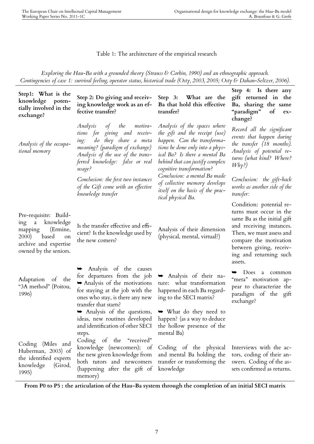#### Table 1: The architecture of the empirical research

*Exploring the Hau-Ba with a grounded theory (Strauss & Corbin, 1990) and an ethnographic approach. Contingencies of case 1: survival feeling, operator status, historical trade (Osty, 2003, 2005; Osty & Dahan-Seltzer, 2006).*

| Step1: What is the<br>knowledge poten-<br>tially involved in the<br>exchange?                                                                | Step 2: Do giving and receiv-<br>ing knowledge work as an ef-<br>fective transfer?                                                                                                                                    | Step 3: What are the<br>Ba that hold this effective<br>transfer?                                                                                                                                                                  | Step 4: Is there any<br>gift returned in the<br>Ba, sharing the same<br>"paradigm"<br>$\sigma$<br>$ex-$<br>change?                                                                                                                   |
|----------------------------------------------------------------------------------------------------------------------------------------------|-----------------------------------------------------------------------------------------------------------------------------------------------------------------------------------------------------------------------|-----------------------------------------------------------------------------------------------------------------------------------------------------------------------------------------------------------------------------------|--------------------------------------------------------------------------------------------------------------------------------------------------------------------------------------------------------------------------------------|
| Analysis of the occupa-<br>tional memory                                                                                                     | of<br>Analysis<br>the<br>motiva-<br>tions for giving and receiv-<br>do they share a meta<br>ing:<br>meaning? (paradigm of exchange)<br>Analysis of the use of the trans-<br>ferred knowledge: false or real<br>usage? | Analysis of the spaces where<br>the gift and the receipt (use)<br>happen. Can the transforma-<br>tions be done only into a phys-<br>ical Ba? Is there a mental Ba<br>behind that can justify complex<br>cognitive transformation? | Record all the significant<br>events that happen during<br>the transfer (18 months).<br>Analysis of potential re-<br>turns (what kind? Where?<br>$Why$ ?)                                                                            |
|                                                                                                                                              | Conclusion: the first two instances<br>of the Gift come with an effective<br>knowledge transfer                                                                                                                       | Conclusion: a mental Ba made<br>of collective memory develops<br>itself on the basis of the prac-<br>tical physical Ba.                                                                                                           | Conclusion: the gift-back<br>works as another side of the<br>transfer:                                                                                                                                                               |
| Pre-requisite: Build-<br>a knowledge<br>ing<br>mapping<br>(Ermine,<br>based<br>2000)<br>on<br>archive and expertise<br>owned by the seniors. | Is the transfer effective and effi-<br>cient? Is the knowledge used by<br>the new comers?                                                                                                                             | Analysis of their dimension<br>(physical, mental, virtual?)                                                                                                                                                                       | Condition: potential re-<br>turns must occur in the<br>same Ba as the initial gift<br>and receiving instances.<br>Then, we must assess and<br>compare the motivation<br>between giving, receiv-<br>ing and returning such<br>assets. |
| Adaptation<br>of the<br>"3A method" (Poitou,<br>1996)                                                                                        | Analysis of the causes<br>for departures from the job<br>$\blacktriangleright$ Analysis of the motivations<br>for staying at the job with the<br>ones who stay, is there any new<br>transfer that starts?             | $\rightarrow$ Analysis of their na-<br>ture: what transformation<br>happened in each Ba regard-<br>ing to the SECI matrix?                                                                                                        | Does<br><sub>a</sub><br>➡<br>common<br>"meta" motivation ap-<br>pear to characterize the<br>paradigm of the gift<br>exchange?                                                                                                        |
|                                                                                                                                              | Analysis of the questions,<br>ideas, new routines developed<br>and identification of other SECI<br>steps.                                                                                                             | $\rightarrow$ What do they need to<br>happen? (as a way to deduce<br>the hollow presence of the<br>mental Ba)                                                                                                                     |                                                                                                                                                                                                                                      |
| Coding (Miles and<br>Huberman, 2003) of<br>the identified experts<br>knowledge<br>(Girod,<br>1995)                                           | Coding of the "received"<br>knowledge (newcomers); of<br>the new given knowledge from<br>both tutors and newcomers<br>(happening after the gift of<br>memory)                                                         | Coding of the physical<br>and mental Ba holding the<br>transfer or transforming the<br>knowledge                                                                                                                                  | Interviews with the ac-<br>tors, coding of their an-<br>swers. Coding of the as-<br>sets confirmed as returns.                                                                                                                       |

**From P0 to P5 : the articulation of the Hau-Ba system through the completion of an initial SECI matrix**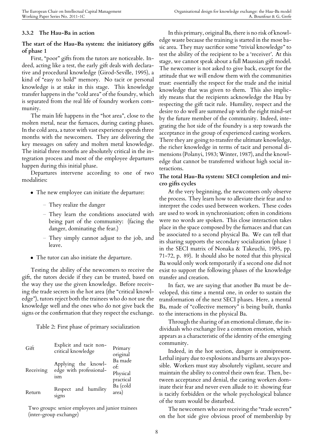#### **3.3.2 The Hau-Ba in action**

#### **The start of the Hau-Ba system: the initiatory gifts of phase 1**

First, "poor" gifts from the tutors are noticeable. Indeed, acting like a test, the early gift deals with declarative and procedural knowledge (Girod-Seville, 1995), a kind of "easy to hold" memory. No tacit or personal knowledge is at stake in this stage. This knowledge transfer happens in the "cold area" of the foundry, which is separated from the real life of foundry workers community.

The main life happens in the "hot area", close to the molten metal, near the furnaces, during casting phases. In the cold area, a tutor with vast experience spends three months with the newcomers. They are delivering the key messages on safety and molten metal knowledge. The initial three months are absolutely critical in the integration process and most of the employee departures happen during this initial phase.

Departures intervene according to one of two modalities:

- *•* The new employee can initiate the departure:
	- They realize the danger
	- They learn the conditions associated with being part of the community: (facing the danger, dominating the fear.)
	- They simply cannot adjust to the job, and leave.
- *•* The tutor can also initiate the departure.

Testing the ability of the newcomers to receive the gift, the tutors decide if they can be trusted, based on the way they use the given knowledge. Before receiving the trade secrets in the hot area (the "critical knowledge"), tutors reject both the trainees who do not use the knowledge well and the ones who do not give back the signs or the confirmation that they respect the exchange.

Table 2: First phase of primary socialization

| Gift      | Explicit and tacit non-<br>critical knowledge         | Primary<br>original                     |
|-----------|-------------------------------------------------------|-----------------------------------------|
| Receiving | Applying the knowl-<br>edge with professional-<br>ism | Ba made<br>of:<br>Physical<br>practical |
| Return    | Respect and humility<br>signs                         | Ba (cold<br>area)                       |

Two groups: senior employees and junior trainees (inter-group exchange)

In this primary, original Ba, there is no risk of knowledge waste because the training is started in the most basic area. They may sacrifice some "trivial knowledge" to test the ability of the recipient to be a 'receiver'. At this stage, we cannot speak about a full Maussian gift model. The newcomer is not asked to give back, except for the attitude that we will endow them with the communities trust: essentially the respect for the trade and the initial knowledge that was given to them. This also implicitly means that the recipients acknowledge the Hau by respecting the gift tacit rule. Humility, respect and the desire to do well are summed up with the right mind-set by the future member of the community. Indeed, integrating the hot side of the foundry is a step towards the acceptance in the group of experienced casting workers. There they are going to transfer the ultimate knowledge, the richer knowledge in terms of tacit and personal dimensions (Polanyi, 1983; Winter, 1987), and the knowledge that cannot be transferred without high social interactions.

#### **The total Hau-Ba system: SECI completion and micro gifts cycles**

At the very beginning, the newcomers only observe the process. They learn how to alleviate their fear and to interpret the codes used between workers. These codes are used to work in synchronisation; often in conditions were no words are spoken. This close interaction takes place in the space composed by the furnaces and that can be associated to a second physical Ba. We can tell that its sharing supports the secondary socialization (phase 1 in the SECI matrix of Nonaka & Takeuchi, 1995, pp. 71-72, p. 89). It should also be noted that this physical Ba would only work temporarily if a second one did not exist to support the following phases of the knowledge transfer and creation.

In fact, we are saying that another Ba must be developed, this time a mental one, in order to sustain the transformation of the next SECI phases. Here, a mental Ba, made of "collective memory" is being built, thanks to the interactions in the physical Ba.

Through the sharing of an emotional climate, the individuals who exchange live a common emotion, which appears as a characteristic of the identity of the emerging community.

Indeed, in the hot section, danger is omnipresent. Lethal injury due to explosions and burns are always possible. Workers must stay absolutely vigilant, secure and maintain the ability to control their own fear. Then, between acceptance and denial, the casting workers dominate their fear and never even allude to it: showing fear is tacitly forbidden or the whole psychological balance of the team would be disturbed.

The newcomers who are receiving the "trade secrets" on the hot side give obvious proof of membership by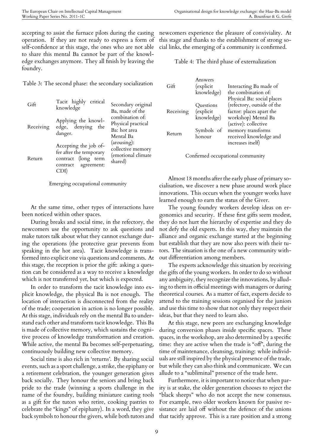accepting to assist the furnace pilots during the casting operation. If they are not ready to express a form of self-confidence at this stage, the ones who are not able to share this mental Ba cannot be part of the knowledge exchanges anymore. They all finish by leaving the foundry.

Table 3: The second phase: the secondary socialization

| Gift      | Tacit highly critical<br>knowledge                                                                     | Secondary original<br>Ba, made of the                              |
|-----------|--------------------------------------------------------------------------------------------------------|--------------------------------------------------------------------|
| Receiving | Applying the knowl-<br>edge, denying the<br>danger.                                                    | combination of:<br>Physical practical<br>Ba: hot area<br>Mental Ba |
| Return    | Accepting the job of-<br>fer after the temporary<br>contract (long term<br>contract agreement:<br>CDI) | (arousing):<br>collective memory<br>(emotional climate<br>shared)  |

Emerging occupational community

At the same time, other types of interactions have been noticed within other spaces.

During breaks and social time, in the refectory, the newcomers use the opportunity to ask questions and make tutors talk about what they cannot exchange during the operations (the protective gear prevents from speaking in the hot area). Tacit knowledge is transformed into explicit one via questions and comments. At this stage, the reception is prior the gift: asking a question can be considered as a way to receive a knowledge which is not transferred yet, but which is expected.

In order to transform the tacit knowledge into explicit knowledge, the physical Ba is not enough. The location of interaction is disconnected from the reality of the trade; cooperation in action is no longer possible. At this stage, individuals rely on the mental Ba to understand each other and transform tacit knowledge. This Ba is made of collective memory, which sustains the cognitive process of knowledge transformation and creation. While active, the mental Ba becomes self-perpetuating, continuously building new collective memory.

Social time is also rich in 'returns'. By sharing social events, such as a sport challenge, a strike, the epiphany or a retirement celebration, the younger generation gives back socially. They honour the seniors and bring back pride to the trade (winning a sports challenge in the name of the foundry, building miniature casting tools as a gift for the tutors who retire, cooking pastries to celebrate the "kings" of epiphany). In a word, they give back symbols to honour the givers, while both tutors and

newcomers experience the pleasure of conviviality. At this stage and thanks to the establishment of strong social links, the emerging of a community is confirmed.

Table 4: The third phase of externalization

| Gift      | Answers<br>(explicit<br>knowledge)   | Interacting Ba made of<br>the combination of:<br>Physical Ba: social places                           |
|-----------|--------------------------------------|-------------------------------------------------------------------------------------------------------|
| Receiving | Questions<br>(explicit<br>knowledge) | (refectory, outside of the<br>factor: places apart the<br>workshop) Mental Ba<br>(active): collective |
| Return    | Symbols of<br>honour                 | memory transforms<br>received knowledge and<br>increases itself)                                      |
|           |                                      |                                                                                                       |

Confirmed occupational community

Almost 18 months after the early phase of primary socialisation, we discover a new phase around work place innovations. This occurs when the younger works have learned enough to earn the status of the Giver.

The young foundry workers develop ideas on ergonomics and security. If these first gifts seem modest, they do not hurt the hierarchy of expertise and they do not defy the old experts. In this way, they maintain the alliance and organic exchange started at the beginning but establish that they are now also peers with their tutors. The situation is the one of a new community without differentiation among members.

The experts acknowledge this situation by receiving the gifts of the young workers. In order to do so without any ambiguity, they recognize the innovations, by alluding to them in official meetings with managers or during theoretical courses. As a matter of fact, experts decide to attend to the training sessions organised for the juniors and use this time to show that not only they respect their ideas, but that they need to learn also.

At this stage, new peers are exchanging knowledge during conversion phases inside specific spaces. These spaces, in the workshop, are also determined by a specific time: they are active when the trade is "off", during the time of maintenance, cleansing, training: while individuals are still inspired by the physical presence of the trade, but while they can also think and communicate. We can allude to a "subliminal" presence of the trade here.

Furthermore, it is important to notice that when parity is at stake, the older generation chooses to reject the "black sheeps" who do not accept the new consensus. For example, two older workers known for passive resistance are laid off without the defence of the unions that tacitly approve. This is a rare position and a strong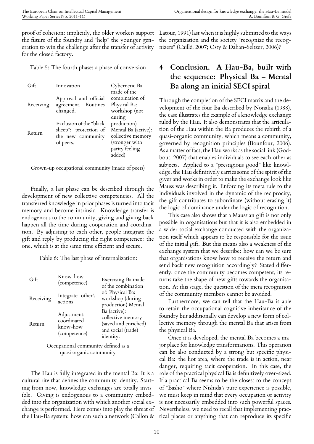proof of cohesion: implicitly, the older workers support the future of the foundry and "help" the younger generation to win the challenge after the transfer of activity for the closed factory.

Table 5: The fourth phase: a phase of conversion

| Gift      | Innovation                                                                         | Cybernetic Ba<br>made of the                                                                          |
|-----------|------------------------------------------------------------------------------------|-------------------------------------------------------------------------------------------------------|
| Receiving | Approval and official<br>agreement. Routines<br>changed.                           | combination of:<br>Physical Ba:<br>workshop (not<br>during                                            |
| Return    | Exclusion of the "black<br>sheep": protection of<br>the new community<br>of peers. | production)<br>Mental Ba (active):<br>collective memory<br>(stronger with<br>parity feeling<br>added) |

Grown-up occupational community (made of peers)

Finally, a last phase can be described through the development of new collective competencies. All the transferred knowledge in prior phases is turned into tacit memory and become intrinsic. Knowledge transfer is endogenous to the community, giving and giving back happen all the time during cooperation and coordination. By adjusting to each other, people integrate the gift and reply by producing the right competence: the one, which is at the same time efficient and secure.

Table 6: The last phase of internalization:

| Gift      | Know-how<br>(competence)                               | Exercising Ba made<br>of the combination                                                     |
|-----------|--------------------------------------------------------|----------------------------------------------------------------------------------------------|
| Receiving | Integrate other's<br>actions                           | of: Physical Ba:<br>workshop (during<br>production) Mental                                   |
| Return    | Adjustment:<br>coordinated<br>know-how<br>(competence) | Ba (active):<br>collective memory<br>(saved and enriched)<br>and social (trade)<br>identity. |
|           |                                                        |                                                                                              |

Occupational community defined as a quasi organic community

The Hau is fully integrated in the mental Ba: It is a cultural rite that defines the community identity. Starting from now, knowledge exchanges are totally invisible. Giving is endogenous to a community embedded into the organization with which another social exchange is performed. Here comes into play the threat of the Hau-Ba system: how can such a network (Callon &

Latour, 1991) last when it is highly submitted to the ways the organization and the society "recognize the recognizers" (Caillé, 2007; Osty & Dahan-Seltzer, 2006)?

# **4 Conclusion. A Hau-Ba, built with the sequence: Physical Ba – Mental Ba along an initial SECI spiral**

Through the completion of the SECI matrix and the development of the four Ba described by Nonaka (1988), the case illustrates the example of a knowledge exchange ruled by the Hau. It also demonstrates that the articulation of the Hau within the Ba produces the rebirth of a quasi-organic community, which means a community, governed by recognition principles (Bounfour, 2006). As a matter of fact, the Hau works as the social link (Godbout, 2007) that enables individuals to see each other as subjects. Applied to a "prestigious good" like knowledge, the Hau definitively carries some of the spirit of the giver and works in order to make the exchange look like Mauss was describing it. Enforcing its meta rule to the individuals involved in the dynamic of the reciprocity, the gift contributes to subordinate (without erasing it) the logic of dominance under the logic of recognition.

This case also shows that a Maussian gift is not only possible in organisations but that it is also embedded in a wider social exchange conducted with the organization itself which appears to be responsible for the issue of the initial gift. But this means also a weakness of the exchange system that we describe: how can we be sure that organisations know how to receive the return and send back new recognition accordingly? Stated differently, once the community becomes competent, its returns take the shape of new gifts towards the organisation. At this stage, the question of the meta recognition of the community members cannot be avoided.

Furthermore, we can tell that the Hau-Ba is able to retain the occupational cognitive inheritance of the foundry but additionally can develop a new form of collective memory through the mental Ba that arises from the physical Ba.

Once it is developed, the mental Ba becomes a major place for knowledge transformations. This operation can be also conducted by a strong but specific physical Ba: the hot area, where the trade is in action, near danger, requiring tacit cooperation. In this case, the role of the practical physical Ba is definitively over-sized. If a practical Ba seems to be the closest to the concept of "Basho" where Nishida's pure experience is possible, we must keep in mind that every occupation or activity is not necessarily embedded into such powerful spaces. Nevertheless, we need to recall that implementing practical places or anything that can reproduce its specific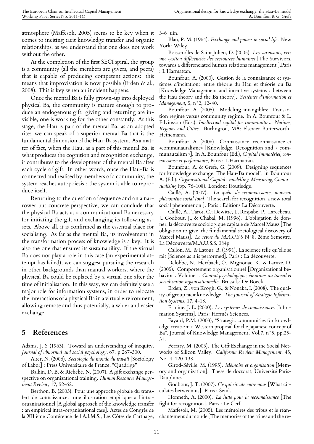atmosphere (Maffesoli, 2005) seems to be key when it comes to inciting tacit knowledge transfer and organic relationships, as we understand that one does not work without the other.

At the completion of the first SECI spiral, the group is a community (all the members are givers, and peers) that is capable of producing competent actions: this means that improvisation is now possible (Erden & al., 2008). This is key when an incident happens.

Once the mental Ba is fully grown-up into deployed physical Ba, the community is mature enough to produce an endogenous gift: giving and returning are invisible, one is working for the other constantly. At this stage, the Hau is part of the mental Ba, as an adopted rite: we can speak of a superior mental Ba that is the fundamental dimension of the Hau-Ba system. As a matter of fact, when the Hau, as a part of this mental Ba, is what produces the cognition and recognition exchange, it contributes to the development of the mental Ba after each cycle of gift. In other words, once the Hau-Ba is connected and realised by members of a community, the system reaches autopoiesis : the system is able to reproduce itself.

Returning to the question of sequence and on a narrower but concrete perspective, we can conclude that the physical Ba acts as a communicational Ba necessary for initiating the gift and exchanging its following assets. Above all, it is confirmed as the essential place for socialising. As far as the mental Ba, its involvement in the transformation process of knowledge is a key. It is also the one that ensures its sustainability. If the virtual Ba does not play a role in this case (an experimental attempt has failed), we can suggest pursuing the research in other backgrounds than manual workers, where the physical Ba could be replaced by a virtual one after the time of initialisation. In this way, we can definitely see a major role for information systems, in order to relocate the interactions of a physical Ba in a virtual environment, allowing remote and thus potentially, a wider and easier exchange.

## **5 References**

Adams, J. S (1963). Toward an understanding of inequity. *Journal of abnormal and social psychology*, 67. p 267-300.

Alter, N. (2006). *Sociologie du monde du travail* [Sociology of Labor] : Press Universitaire de France, "Quadrige"

Balkin, D. B. & Richebé, N. (2007). A gift exchange perspective on organizational training. *Human Resource Management Review*, 17, 52-62.

Berthon, B. (2003). Pour une approche globale du transfert de connaissance: une illustration empirique à l'intraorganisationnel [A global approach of the knowledge transfer : an empirical intra-organisational case]. Actes de Congrès de la XII ème Conférence de l'A.I.M.S., Les Côtes de Carthage,

3-6 Juin.

Blau, P. M. (1964). *Exchange and power in social life*. New York: Wiley.

Boisserolles de Saint Julien, D. (2005). *Les survivants, vers une gestion différenciée des ressources humaines* [The Survivors, towards a differenciated human relations management ].Paris : L'Harmattan.

Bounfour, A. (2000). Gestion de la connaissance et systèmes d'incitation: entre théorie du Hau et théorie du Ba [Knowledge Management and incentive systems : between the Hau theory and the Ba theory]. *Systèmes d'Information et Management*, 5, n°2, 12-40.

Bounfour, A. (2005). Modeling intangibles: Transaction regime versus community regime. In A. Bounfour & L. Edvinsson (Eds.), *Intellectual capital for communities: Nations, Regions and Cities*. Burlington, MA: Elsevier Butterworth-Heinemann.

Bounfour, A. (2006). Connaissance, reconnaissance et «communautalisme» [Knowledge, Recognition and « communautalism »]. In A. Bounfour (Ed.), *Capital immatériel, connaissance et performance*, Paris : L'Harmattan.

Bounfour, A. & Grefe, G. (2009). Designing sequences for knowledge exchange, The Hau-Ba model", in Bounfour A. (Ed.), *Organisational Capital: modelling, Measuring, Contextualising* (pp. 76-108). London: Routledge.

Caillé, A. (2007). *La quête de reconnaissance, nouveau phénomène social total* [The search for recognition, a new total social phenomenon ]. Paris : Editions La Découverte.

Caillé, A., Tarot, C.; Dewitte, J., Rospabe, P., Larcebeau, J., Godbout, J., & Chabal, M. (1996). L'obligation de donner, la découverte sociologique capitale de Marcel Mauss [The obligation to give, the fundamental sociological discovery of Marcel Mauss]. *La revue du M.A.U.S.S* N°8, 2ème Semestre. La Découverte/M.A.U.S.S. 384p

Callon, M., & Latour, B. (1991). La science telle qu'elle se fait [Science as it is performed]. Paris : La découverte.

Delobbe, N., Herrbach, O., Mignonac, K., & Lacaze, D. (2005). Comportement organisationnel [Organizational behavior]. Volume 1: *Contrat psychologique, émotions au travail et socialisation organisationnelle*. Brussels: De Boeck.

Erden, Z., von Krogh, G., & Nonaka, I. (2008). The quality of group tacit knowledge. *The Journal of Strategic Information Systems*, 17, 4-18.

Ermine, J. L. (2000). *Les systèmes de connaissances* [Information Systems]. Paris: Hermès Sciences.

Fayard, P.M. (2003), "Strategic communities for knowledge creation: a Western proposal for the Japanese concept of Ba", Journal of Knowledge Management, Vol.7, n°5, pp.25- 31.

Ferrary, M. (2003). The Gift Exchange in the Social Networks of Silicon Valley. *California Review Management*, 45, No. 4, 120-138.

Girod-Séville, M. (1995). *Mémoire et organisation* [Memory and organization]. Thèse de doctorat, Université Paris-Dauphine.

Godbout, J. T. (2007). *Ce qui circule entre nous* [What circulates between us]. Paris : Seuil.

Honneth, A. (2000). *La lutte pour la reconnaissance* [The fight for recognition]. Paris : Le Cerf.

Maffesoli, M. (2005). Les mémoires des tribus et le réanchantement du monde [The memories of the tribes and the re-